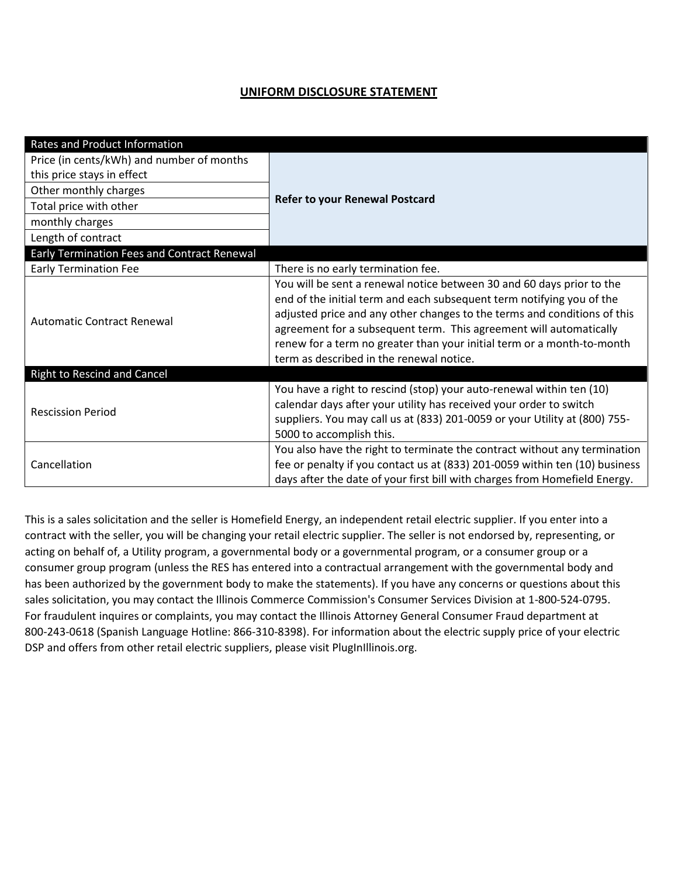## **UNIFORM DISCLOSURE STATEMENT**

| Rates and Product Information                      |                                                                                                                                                                                                                                                                                                                                                                                                                        |  |
|----------------------------------------------------|------------------------------------------------------------------------------------------------------------------------------------------------------------------------------------------------------------------------------------------------------------------------------------------------------------------------------------------------------------------------------------------------------------------------|--|
| Price (in cents/kWh) and number of months          | <b>Refer to your Renewal Postcard</b>                                                                                                                                                                                                                                                                                                                                                                                  |  |
| this price stays in effect                         |                                                                                                                                                                                                                                                                                                                                                                                                                        |  |
| Other monthly charges                              |                                                                                                                                                                                                                                                                                                                                                                                                                        |  |
| Total price with other                             |                                                                                                                                                                                                                                                                                                                                                                                                                        |  |
| monthly charges                                    |                                                                                                                                                                                                                                                                                                                                                                                                                        |  |
| Length of contract                                 |                                                                                                                                                                                                                                                                                                                                                                                                                        |  |
| <b>Early Termination Fees and Contract Renewal</b> |                                                                                                                                                                                                                                                                                                                                                                                                                        |  |
| <b>Early Termination Fee</b>                       | There is no early termination fee.                                                                                                                                                                                                                                                                                                                                                                                     |  |
| <b>Automatic Contract Renewal</b>                  | You will be sent a renewal notice between 30 and 60 days prior to the<br>end of the initial term and each subsequent term notifying you of the<br>adjusted price and any other changes to the terms and conditions of this<br>agreement for a subsequent term. This agreement will automatically<br>renew for a term no greater than your initial term or a month-to-month<br>term as described in the renewal notice. |  |
| <b>Right to Rescind and Cancel</b>                 |                                                                                                                                                                                                                                                                                                                                                                                                                        |  |
| <b>Rescission Period</b>                           | You have a right to rescind (stop) your auto-renewal within ten (10)<br>calendar days after your utility has received your order to switch<br>suppliers. You may call us at (833) 201-0059 or your Utility at (800) 755-<br>5000 to accomplish this.                                                                                                                                                                   |  |
| Cancellation                                       | You also have the right to terminate the contract without any termination<br>fee or penalty if you contact us at (833) 201-0059 within ten (10) business<br>days after the date of your first bill with charges from Homefield Energy.                                                                                                                                                                                 |  |

This is a sales solicitation and the seller is Homefield Energy, an independent retail electric supplier. If you enter into a contract with the seller, you will be changing your retail electric supplier. The seller is not endorsed by, representing, or acting on behalf of, a Utility program, a governmental body or a governmental program, or a consumer group or a consumer group program (unless the RES has entered into a contractual arrangement with the governmental body and has been authorized by the government body to make the statements). If you have any concerns or questions about this sales solicitation, you may contact the Illinois Commerce Commission's Consumer Services Division at 1-800-524-0795. For fraudulent inquires or complaints, you may contact the Illinois Attorney General Consumer Fraud department at 800-243-0618 (Spanish Language Hotline: 866-310-8398). For information about the electric supply price of your electric DSP and offers from other retail electric suppliers, please visit PlugInIllinois.org.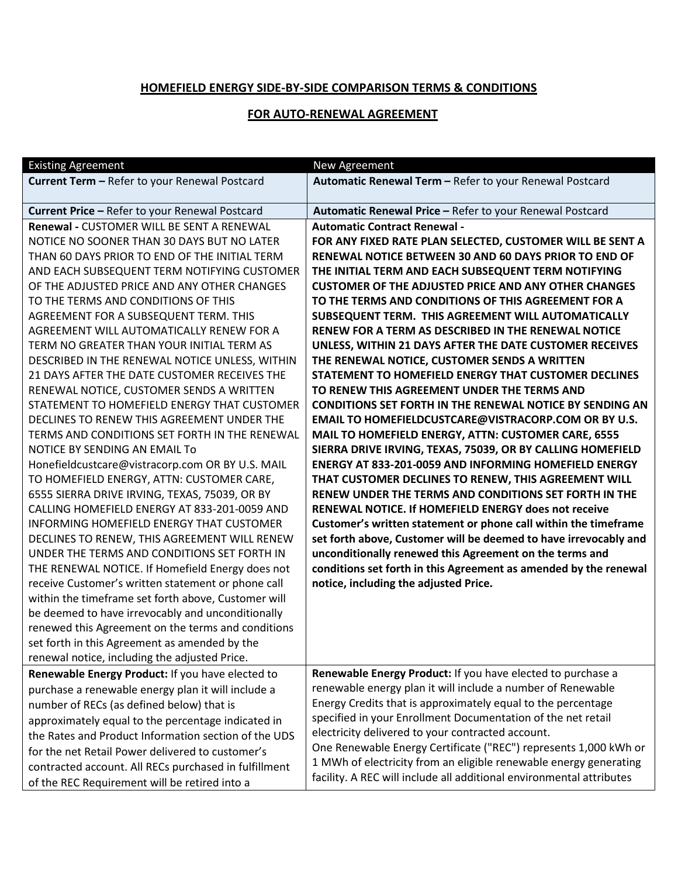## **HOMEFIELD ENERGY SIDE-BY-SIDE COMPARISON TERMS & CONDITIONS**

## **FOR AUTO-RENEWAL AGREEMENT**

| <b>Existing Agreement</b>                             | New Agreement                                                        |
|-------------------------------------------------------|----------------------------------------------------------------------|
| Current Term - Refer to your Renewal Postcard         | Automatic Renewal Term - Refer to your Renewal Postcard              |
|                                                       |                                                                      |
| Current Price - Refer to your Renewal Postcard        | Automatic Renewal Price - Refer to your Renewal Postcard             |
| Renewal - CUSTOMER WILL BE SENT A RENEWAL             | <b>Automatic Contract Renewal -</b>                                  |
| NOTICE NO SOONER THAN 30 DAYS BUT NO LATER            | FOR ANY FIXED RATE PLAN SELECTED, CUSTOMER WILL BE SENT A            |
| THAN 60 DAYS PRIOR TO END OF THE INITIAL TERM         | RENEWAL NOTICE BETWEEN 30 AND 60 DAYS PRIOR TO END OF                |
| AND EACH SUBSEQUENT TERM NOTIFYING CUSTOMER           | THE INITIAL TERM AND EACH SUBSEQUENT TERM NOTIFYING                  |
| OF THE ADJUSTED PRICE AND ANY OTHER CHANGES           | <b>CUSTOMER OF THE ADJUSTED PRICE AND ANY OTHER CHANGES</b>          |
| TO THE TERMS AND CONDITIONS OF THIS                   | TO THE TERMS AND CONDITIONS OF THIS AGREEMENT FOR A                  |
| AGREEMENT FOR A SUBSEQUENT TERM. THIS                 | SUBSEQUENT TERM. THIS AGREEMENT WILL AUTOMATICALLY                   |
| AGREEMENT WILL AUTOMATICALLY RENEW FOR A              | RENEW FOR A TERM AS DESCRIBED IN THE RENEWAL NOTICE                  |
| TERM NO GREATER THAN YOUR INITIAL TERM AS             | UNLESS, WITHIN 21 DAYS AFTER THE DATE CUSTOMER RECEIVES              |
| DESCRIBED IN THE RENEWAL NOTICE UNLESS, WITHIN        | THE RENEWAL NOTICE, CUSTOMER SENDS A WRITTEN                         |
| 21 DAYS AFTER THE DATE CUSTOMER RECEIVES THE          | STATEMENT TO HOMEFIELD ENERGY THAT CUSTOMER DECLINES                 |
| RENEWAL NOTICE, CUSTOMER SENDS A WRITTEN              | TO RENEW THIS AGREEMENT UNDER THE TERMS AND                          |
| STATEMENT TO HOMEFIELD ENERGY THAT CUSTOMER           | <b>CONDITIONS SET FORTH IN THE RENEWAL NOTICE BY SENDING AN</b>      |
| DECLINES TO RENEW THIS AGREEMENT UNDER THE            | <b>EMAIL TO HOMEFIELDCUSTCARE@VISTRACORP.COM OR BY U.S.</b>          |
| TERMS AND CONDITIONS SET FORTH IN THE RENEWAL         | MAIL TO HOMEFIELD ENERGY, ATTN: CUSTOMER CARE, 6555                  |
| NOTICE BY SENDING AN EMAIL To                         | SIERRA DRIVE IRVING, TEXAS, 75039, OR BY CALLING HOMEFIELD           |
| Honefieldcustcare@vistracorp.com OR BY U.S. MAIL      | <b>ENERGY AT 833-201-0059 AND INFORMING HOMEFIELD ENERGY</b>         |
| TO HOMEFIELD ENERGY, ATTN: CUSTOMER CARE,             | THAT CUSTOMER DECLINES TO RENEW, THIS AGREEMENT WILL                 |
| 6555 SIERRA DRIVE IRVING, TEXAS, 75039, OR BY         | RENEW UNDER THE TERMS AND CONDITIONS SET FORTH IN THE                |
| CALLING HOMEFIELD ENERGY AT 833-201-0059 AND          | RENEWAL NOTICE. If HOMEFIELD ENERGY does not receive                 |
| INFORMING HOMEFIELD ENERGY THAT CUSTOMER              | Customer's written statement or phone call within the timeframe      |
| DECLINES TO RENEW, THIS AGREEMENT WILL RENEW          | set forth above, Customer will be deemed to have irrevocably and     |
| UNDER THE TERMS AND CONDITIONS SET FORTH IN           | unconditionally renewed this Agreement on the terms and              |
| THE RENEWAL NOTICE. If Homefield Energy does not      | conditions set forth in this Agreement as amended by the renewal     |
| receive Customer's written statement or phone call    | notice, including the adjusted Price.                                |
| within the timeframe set forth above, Customer will   |                                                                      |
| be deemed to have irrevocably and unconditionally     |                                                                      |
| renewed this Agreement on the terms and conditions    |                                                                      |
| set forth in this Agreement as amended by the         |                                                                      |
| renewal notice, including the adjusted Price.         |                                                                      |
| Renewable Energy Product: If you have elected to      | Renewable Energy Product: If you have elected to purchase a          |
| purchase a renewable energy plan it will include a    | renewable energy plan it will include a number of Renewable          |
| number of RECs (as defined below) that is             | Energy Credits that is approximately equal to the percentage         |
| approximately equal to the percentage indicated in    | specified in your Enrollment Documentation of the net retail         |
| the Rates and Product Information section of the UDS  | electricity delivered to your contracted account.                    |
| for the net Retail Power delivered to customer's      | One Renewable Energy Certificate ("REC") represents 1,000 kWh or     |
| contracted account. All RECs purchased in fulfillment | 1 MWh of electricity from an eligible renewable energy generating    |
| of the REC Requirement will be retired into a         | facility. A REC will include all additional environmental attributes |